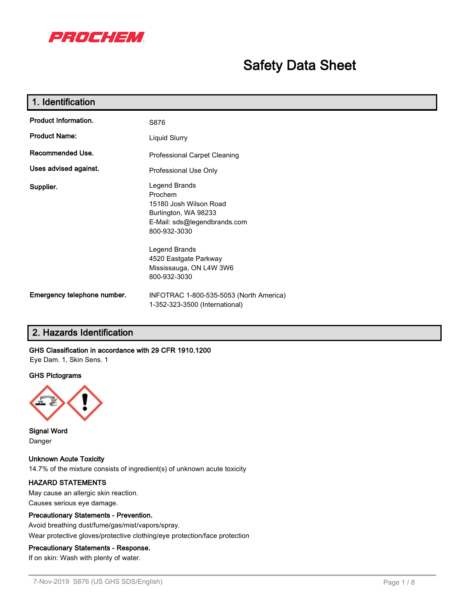

# **Safety Data Sheet**

| 1. Identification           |                                                                                                                            |  |  |
|-----------------------------|----------------------------------------------------------------------------------------------------------------------------|--|--|
| <b>Product Information.</b> | S876                                                                                                                       |  |  |
| <b>Product Name:</b>        | Liquid Slurry                                                                                                              |  |  |
| Recommended Use.            | Professional Carpet Cleaning                                                                                               |  |  |
| Uses advised against.       | Professional Use Only                                                                                                      |  |  |
| Supplier.                   | Legend Brands<br>Prochem<br>15180 Josh Wilson Road<br>Burlington, WA 98233<br>E-Mail: sds@legendbrands.com<br>800-932-3030 |  |  |
|                             | Legend Brands<br>4520 Eastgate Parkway<br>Mississauga, ON L4W 3W6<br>800-932-3030                                          |  |  |
| Emergency telephone number. | INFOTRAC 1-800-535-5053 (North America)<br>1-352-323-3500 (International)                                                  |  |  |

# **2. Hazards Identification**

## **GHS Classification in accordance with 29 CFR 1910.1200**

Eye Dam. 1, Skin Sens. 1

#### **GHS Pictograms**



**Signal Word** Danger

**Unknown Acute Toxicity** 14.7% of the mixture consists of ingredient(s) of unknown acute toxicity

## **HAZARD STATEMENTS**

May cause an allergic skin reaction. Causes serious eye damage.

#### **Precautionary Statements - Prevention.**

Avoid breathing dust/fume/gas/mist/vapors/spray. Wear protective gloves/protective clothing/eye protection/face protection

#### **Precautionary Statements - Response.**

If on skin: Wash with plenty of water.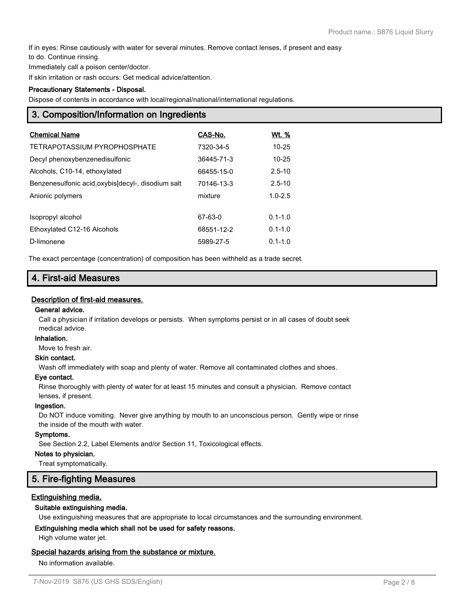If in eyes: Rinse cautiously with water for several minutes. Remove contact lenses, if present and easy

to do. Continue rinsing.

Immediately call a poison center/doctor.

If skin irritation or rash occurs: Get medical advice/attention.

#### **Precautionary Statements - Disposal.**

Dispose of contents in accordance with local/regional/national/international regulations.

## **3. Composition/Information on Ingredients**

| <b>Chemical Name</b>                               | CAS-No.    | Wt. %       |
|----------------------------------------------------|------------|-------------|
| TETRAPOTASSIUM PYROPHOSPHATE                       | 7320-34-5  | $10 - 25$   |
| Decyl phenoxybenzenedisulfonic                     | 36445-71-3 | $10 - 25$   |
| Alcohols, C10-14, ethoxylated                      | 66455-15-0 | $2.5 - 10$  |
| Benzenesulfonic acid, oxybis[decyl-, disodium salt | 70146-13-3 | $2.5 - 10$  |
| Anionic polymers                                   | mixture    | $1.0 - 2.5$ |
|                                                    |            |             |
| Isopropyl alcohol                                  | 67-63-0    | $0.1 - 1.0$ |
| Ethoxylated C12-16 Alcohols                        | 68551-12-2 | $0.1 - 1.0$ |
| D-limonene                                         | 5989-27-5  | $0.1 - 1.0$ |

The exact percentage (concentration) of composition has been withheld as a trade secret.

## **4. First-aid Measures**

#### **Description of first-aid measures.**

#### **General advice.**

Call a physician if irritation develops or persists. When symptoms persist or in all cases of doubt seek medical advice.

#### **Inhalation.**

Move to fresh air.

## **Skin contact.**

Wash off immediately with soap and plenty of water. Remove all contaminated clothes and shoes.

#### **Eye contact.**

Rinse thoroughly with plenty of water for at least 15 minutes and consult a physician. Remove contact lenses, if present.

#### **Ingestion.**

Do NOT induce vomiting. Never give anything by mouth to an unconscious person. Gently wipe or rinse the inside of the mouth with water.

#### **Symptoms.**

See Section 2.2, Label Elements and/or Section 11, Toxicological effects.

#### **Notes to physician.**

Treat symptomatically.

## **5. Fire-fighting Measures**

#### **Extinguishing media.**

#### **Suitable extinguishing media.**

Use extinguishing measures that are appropriate to local circumstances and the surrounding environment.

## **Extinguishing media which shall not be used for safety reasons.**

High volume water jet.

#### **Special hazards arising from the substance or mixture.**

No information available.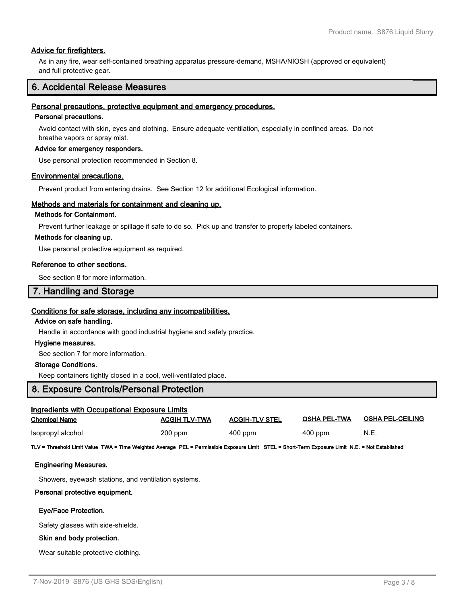## **Advice for firefighters.**

As in any fire, wear self-contained breathing apparatus pressure-demand, MSHA/NIOSH (approved or equivalent) and full protective gear.

## **6. Accidental Release Measures**

#### **Personal precautions, protective equipment and emergency procedures.**

#### **Personal precautions.**

Avoid contact with skin, eyes and clothing. Ensure adequate ventilation, especially in confined areas. Do not breathe vapors or spray mist.

#### **Advice for emergency responders.**

Use personal protection recommended in Section 8.

#### **Environmental precautions.**

Prevent product from entering drains. See Section 12 for additional Ecological information.

#### **Methods and materials for containment and cleaning up.**

#### **Methods for Containment.**

Prevent further leakage or spillage if safe to do so. Pick up and transfer to properly labeled containers.

#### **Methods for cleaning up.**

Use personal protective equipment as required.

#### **Reference to other sections.**

See section 8 for more information.

## **7. Handling and Storage**

#### **Conditions for safe storage, including any incompatibilities.**

#### **Advice on safe handling.**

Handle in accordance with good industrial hygiene and safety practice.

#### **Hygiene measures.**

See section 7 for more information.

#### **Storage Conditions.**

Keep containers tightly closed in a cool, well-ventilated place.

## **8. Exposure Controls/Personal Protection**

| Ingredients with Occupational Exposure Limits |                      |                       |                     |                         |  |  |
|-----------------------------------------------|----------------------|-----------------------|---------------------|-------------------------|--|--|
| Chemical Name                                 | <b>ACGIH TLV-TWA</b> | <b>ACGIH-TLV STEL</b> | <b>OSHA PEL-TWA</b> | <b>OSHA PEL-CEILING</b> |  |  |
| Isopropyl alcohol                             | $200$ ppm            | $400$ ppm             | 400 ppm             | N.E.                    |  |  |

**TLV = Threshold Limit Value TWA = Time Weighted Average PEL = Permissible Exposure Limit STEL = Short-Term Exposure Limit N.E. = Not Established**

#### **Engineering Measures.**

Showers, eyewash stations, and ventilation systems.

#### **Personal protective equipment.**

#### **Eye/Face Protection.**

Safety glasses with side-shields.

#### **Skin and body protection.**

Wear suitable protective clothing.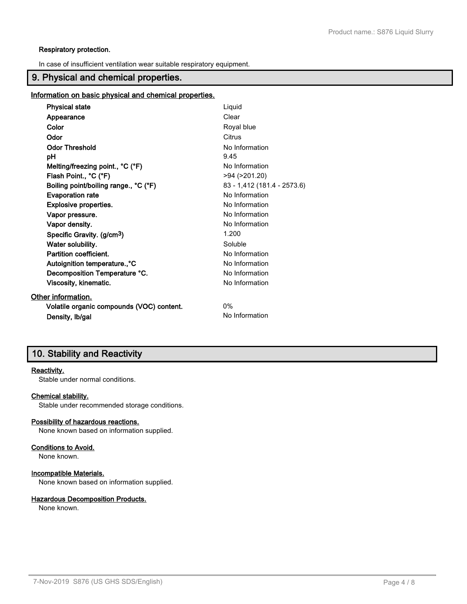#### **Respiratory protection.**

In case of insufficient ventilation wear suitable respiratory equipment.

## **9. Physical and chemical properties.**

## **Information on basic physical and chemical properties.**

| <b>Physical state</b>                     | Liquid                      |
|-------------------------------------------|-----------------------------|
| Appearance                                | Clear                       |
| Color                                     | Royal blue                  |
| Odor                                      | Citrus                      |
| <b>Odor Threshold</b>                     | No Information              |
| рH                                        | 9.45                        |
| Melting/freezing point., °C (°F)          | No Information              |
| Flash Point., °C (°F)                     | $>94$ ( $>201.20$ )         |
| Boiling point/boiling range., °C (°F)     | 83 - 1,412 (181.4 - 2573.6) |
| <b>Evaporation rate</b>                   | No Information              |
| <b>Explosive properties.</b>              | No Information              |
| Vapor pressure.                           | No Information              |
| Vapor density.                            | No Information              |
| Specific Gravity. (g/cm <sup>3</sup> )    | 1.200                       |
| Water solubility.                         | Soluble                     |
| Partition coefficient.                    | No Information              |
| Autoignition temperature., °C             | No Information              |
| Decomposition Temperature °C.             | No Information              |
| Viscosity, kinematic.                     | No Information              |
| Other information.                        |                             |
| Volatile organic compounds (VOC) content. | $0\%$                       |
| Density, Ib/gal                           | No Information              |

# **10. Stability and Reactivity**

#### **Reactivity.**

Stable under normal conditions.

#### **Chemical stability.**

Stable under recommended storage conditions.

#### **Possibility of hazardous reactions.**

None known based on information supplied.

#### **Conditions to Avoid.**

None known.

#### **Incompatible Materials.**

None known based on information supplied.

## **Hazardous Decomposition Products.**

None known.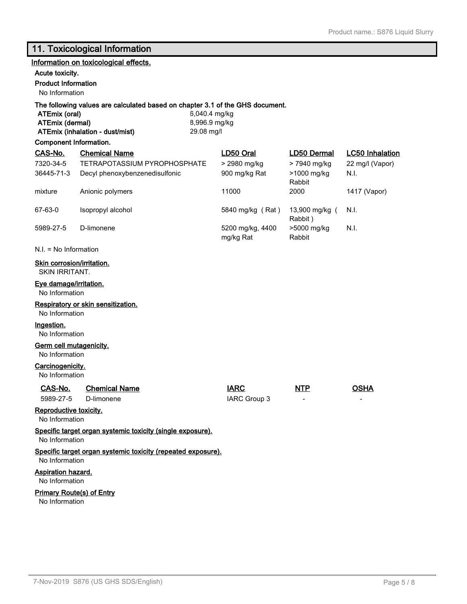# **11. Toxicological Information**

|                                                                                | Information on toxicological effects.                                                                            |                                              |                               |                           |                        |  |
|--------------------------------------------------------------------------------|------------------------------------------------------------------------------------------------------------------|----------------------------------------------|-------------------------------|---------------------------|------------------------|--|
| Acute toxicity.                                                                |                                                                                                                  |                                              |                               |                           |                        |  |
| <b>Product Information</b>                                                     |                                                                                                                  |                                              |                               |                           |                        |  |
| No Information                                                                 |                                                                                                                  |                                              |                               |                           |                        |  |
| ATEmix (oral)<br><b>ATEmix (dermal)</b>                                        | The following values are calculated based on chapter 3.1 of the GHS document.<br>ATEmix (inhalation - dust/mist) | 6,040.4 mg/kg<br>8,996.9 mg/kg<br>29.08 mg/l |                               |                           |                        |  |
| <b>Component Information.</b>                                                  |                                                                                                                  |                                              |                               |                           |                        |  |
| CAS-No.                                                                        | <b>Chemical Name</b>                                                                                             | LD50 Oral                                    |                               | <b>LD50 Dermal</b>        | <b>LC50 Inhalation</b> |  |
| 7320-34-5                                                                      | TETRAPOTASSIUM PYROPHOSPHATE                                                                                     |                                              | > 2980 mg/kg                  | > 7940 mg/kg              | 22 mg/l (Vapor)        |  |
| 36445-71-3                                                                     | Decyl phenoxybenzenedisulfonic                                                                                   |                                              | 900 mg/kg Rat                 | >1000 mg/kg<br>Rabbit     | N.I.                   |  |
| mixture                                                                        | Anionic polymers                                                                                                 |                                              | 11000                         | 2000                      | 1417 (Vapor)           |  |
| 67-63-0                                                                        | Isopropyl alcohol                                                                                                |                                              | 5840 mg/kg (Rat)              | 13,900 mg/kg (<br>Rabbit) | N.I.                   |  |
| 5989-27-5                                                                      | D-limonene                                                                                                       |                                              | 5200 mg/kg, 4400<br>mg/kg Rat | >5000 mg/kg<br>Rabbit     | N.I.                   |  |
| $N.I. = No Information$                                                        |                                                                                                                  |                                              |                               |                           |                        |  |
| Skin corrosion/irritation.<br><b>SKIN IRRITANT.</b>                            |                                                                                                                  |                                              |                               |                           |                        |  |
| <b>Eye damage/irritation.</b><br>No Information                                |                                                                                                                  |                                              |                               |                           |                        |  |
| No Information                                                                 | Respiratory or skin sensitization.                                                                               |                                              |                               |                           |                        |  |
| Ingestion.<br>No Information                                                   |                                                                                                                  |                                              |                               |                           |                        |  |
| Germ cell mutagenicity.<br>No Information                                      |                                                                                                                  |                                              |                               |                           |                        |  |
| Carcinogenicity.<br>No Information                                             |                                                                                                                  |                                              |                               |                           |                        |  |
| CAS-No.<br>5989-27-5                                                           | <b>Chemical Name</b><br>D-limonene                                                                               |                                              | <b>IARC</b><br>IARC Group 3   | NTP                       | <b>OSHA</b>            |  |
| Reproductive toxicity.<br>No Information                                       |                                                                                                                  |                                              |                               |                           |                        |  |
| Specific target organ systemic toxicity (single exposure).<br>No Information   |                                                                                                                  |                                              |                               |                           |                        |  |
| Specific target organ systemic toxicity (repeated exposure).<br>No Information |                                                                                                                  |                                              |                               |                           |                        |  |
| <b>Aspiration hazard.</b><br>No Information                                    |                                                                                                                  |                                              |                               |                           |                        |  |
| <b>Primary Route(s) of Entry</b>                                               |                                                                                                                  |                                              |                               |                           |                        |  |
|                                                                                | No Information                                                                                                   |                                              |                               |                           |                        |  |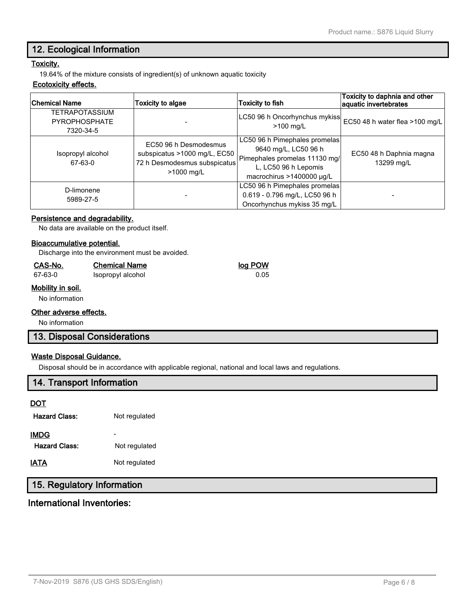## **12. Ecological Information**

## **Toxicity.**

19.64% of the mixture consists of ingredient(s) of unknown aquatic toxicity

#### **Ecotoxicity effects.**

| <b>Chemical Name</b>                                       | Toxicity to algae                                                                                   | Toxicity to fish                                                                                                                            | Toxicity to daphnia and other<br>aquatic invertebrates |
|------------------------------------------------------------|-----------------------------------------------------------------------------------------------------|---------------------------------------------------------------------------------------------------------------------------------------------|--------------------------------------------------------|
| <b>TETRAPOTASSIUM</b><br><b>PYROPHOSPHATE</b><br>7320-34-5 |                                                                                                     | LC50 96 h Oncorhynchus mykiss<br>$>100$ mg/L                                                                                                | EC50 48 h water flea >100 mg/L                         |
| Isopropyl alcohol<br>67-63-0                               | EC50 96 h Desmodesmus<br>subspicatus >1000 mg/L, EC50<br>72 h Desmodesmus subspicatus<br>>1000 mg/L | LC50 96 h Pimephales promelas<br>9640 mg/L, LC50 96 h<br>Pimephales promelas 11130 mg/<br>L, LC50 96 h Lepomis<br>macrochirus >1400000 µg/L | EC50 48 h Daphnia magna<br>13299 mg/L                  |
| D-limonene<br>5989-27-5                                    |                                                                                                     | LC50 96 h Pimephales promelas<br>0.619 - 0.796 mg/L, LC50 96 h<br>Oncorhynchus mykiss 35 mg/L                                               |                                                        |

#### **Persistence and degradability.**

No data are available on the product itself.

#### **Bioaccumulative potential.**

Discharge into the environment must be avoided.

#### **CAS-No. Chemical Name log POW**

67-63-0 Isopropyl alcohol 0.05

## **Mobility in soil.**

No information

#### **Other adverse effects.**

No information

## **13. Disposal Considerations**

## **Waste Disposal Guidance.**

Disposal should be in accordance with applicable regional, national and local laws and regulations.

## **14. Transport Information**

#### **DOT**

| <b>Hazard Class:</b> | Not regulated |
|----------------------|---------------|
| IMDG                 |               |
| <b>Hazard Class:</b> | Not regulated |
| IATA                 | Not regulated |

# **15. Regulatory Information**

## **International Inventories:**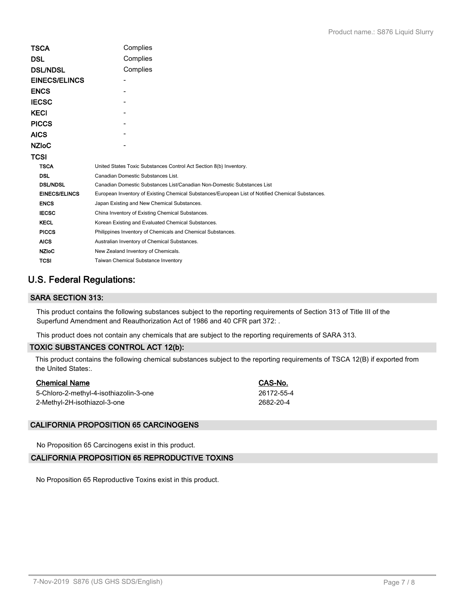| TSCA                 | Complies                                                                                          |  |  |
|----------------------|---------------------------------------------------------------------------------------------------|--|--|
| DSL                  | Complies                                                                                          |  |  |
| <b>DSL/NDSL</b>      | Complies                                                                                          |  |  |
| <b>EINECS/ELINCS</b> |                                                                                                   |  |  |
| <b>ENCS</b>          |                                                                                                   |  |  |
| <b>IECSC</b>         |                                                                                                   |  |  |
| KECI                 |                                                                                                   |  |  |
| <b>PICCS</b>         |                                                                                                   |  |  |
| AICS                 |                                                                                                   |  |  |
| <b>NZIoC</b>         |                                                                                                   |  |  |
| TCSI                 |                                                                                                   |  |  |
| <b>TSCA</b>          | United States Toxic Substances Control Act Section 8(b) Inventory.                                |  |  |
| <b>DSL</b>           | Canadian Domestic Substances List.                                                                |  |  |
| <b>DSL/NDSL</b>      | Canadian Domestic Substances List/Canadian Non-Domestic Substances List                           |  |  |
| <b>EINECS/ELINCS</b> | European Inventory of Existing Chemical Substances/European List of Notified Chemical Substances. |  |  |
| <b>ENCS</b>          | Japan Existing and New Chemical Substances.                                                       |  |  |
| <b>IECSC</b>         | China Inventory of Existing Chemical Substances.                                                  |  |  |
| <b>KECL</b>          | Korean Existing and Evaluated Chemical Substances.                                                |  |  |
| <b>PICCS</b>         | Philippines Inventory of Chemicals and Chemical Substances.                                       |  |  |
| <b>AICS</b>          | Australian Inventory of Chemical Substances.                                                      |  |  |
| <b>NZIoC</b>         | New Zealand Inventory of Chemicals.                                                               |  |  |
| <b>TCSI</b>          | Taiwan Chemical Substance Inventory                                                               |  |  |
|                      |                                                                                                   |  |  |

# **U.S. Federal Regulations:**

## **SARA SECTION 313:**

This product contains the following substances subject to the reporting requirements of Section 313 of Title III of the Superfund Amendment and Reauthorization Act of 1986 and 40 CFR part 372: .

This product does not contain any chemicals that are subject to the reporting requirements of SARA 313.

## **TOXIC SUBSTANCES CONTROL ACT 12(b):**

This product contains the following chemical substances subject to the reporting requirements of TSCA 12(B) if exported from the United States:.

| <b>Chemical Name</b>                   | CAS-No.    |
|----------------------------------------|------------|
| 5-Chloro-2-methyl-4-isothiazolin-3-one | 26172-55-4 |
| 2-Methyl-2H-isothiazol-3-one           | 2682-20-4  |

## **CALIFORNIA PROPOSITION 65 CARCINOGENS**

No Proposition 65 Carcinogens exist in this product.

## **CALIFORNIA PROPOSITION 65 REPRODUCTIVE TOXINS**

No Proposition 65 Reproductive Toxins exist in this product.